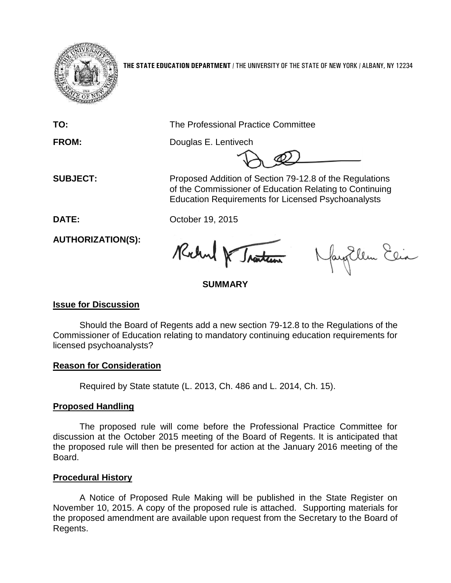

**THE STATE EDUCATION DEPARTMENT** / THE UNIVERSITY OF THE STATE OF NEW YORK / ALBANY, NY 12234

**TO:** The Professional Practice Committee

**FROM:** Douglas E. Lentivech

 **SUBJECT:** Proposed Addition of Section 79-12.8 of the Regulations of the Commissioner of Education Relating to Continuing Education Requirements for Licensed Psychoanalysts

**DATE:** October 19, 2015

**AUTHORIZATION(S):**

Rochel & Traiten

Nayollem Elia

## **SUMMARY**

### **Issue for Discussion**

Should the Board of Regents add a new section 79-12.8 to the Regulations of the Commissioner of Education relating to mandatory continuing education requirements for licensed psychoanalysts?

### **Reason for Consideration**

Required by State statute (L. 2013, Ch. 486 and L. 2014, Ch. 15).

# **Proposed Handling**

The proposed rule will come before the Professional Practice Committee for discussion at the October 2015 meeting of the Board of Regents. It is anticipated that the proposed rule will then be presented for action at the January 2016 meeting of the Board.

# **Procedural History**

A Notice of Proposed Rule Making will be published in the State Register on November 10, 2015. A copy of the proposed rule is attached. Supporting materials for the proposed amendment are available upon request from the Secretary to the Board of Regents.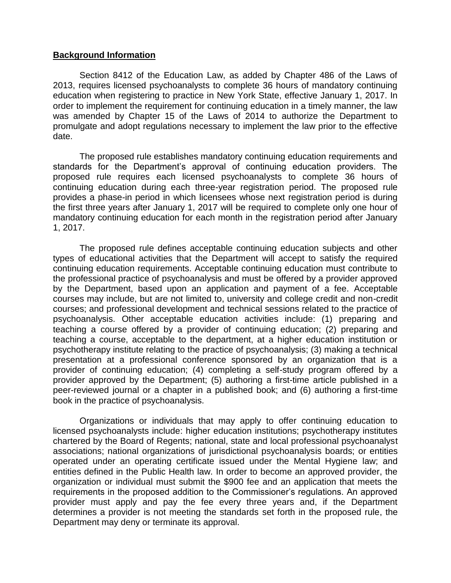#### **Background Information**

Section 8412 of the Education Law, as added by Chapter 486 of the Laws of 2013, requires licensed psychoanalysts to complete 36 hours of mandatory continuing education when registering to practice in New York State, effective January 1, 2017. In order to implement the requirement for continuing education in a timely manner, the law was amended by Chapter 15 of the Laws of 2014 to authorize the Department to promulgate and adopt regulations necessary to implement the law prior to the effective date.

The proposed rule establishes mandatory continuing education requirements and standards for the Department's approval of continuing education providers. The proposed rule requires each licensed psychoanalysts to complete 36 hours of continuing education during each three-year registration period. The proposed rule provides a phase-in period in which licensees whose next registration period is during the first three years after January 1, 2017 will be required to complete only one hour of mandatory continuing education for each month in the registration period after January 1, 2017.

The proposed rule defines acceptable continuing education subjects and other types of educational activities that the Department will accept to satisfy the required continuing education requirements. Acceptable continuing education must contribute to the professional practice of psychoanalysis and must be offered by a provider approved by the Department, based upon an application and payment of a fee. Acceptable courses may include, but are not limited to, university and college credit and non-credit courses; and professional development and technical sessions related to the practice of psychoanalysis. Other acceptable education activities include: (1) preparing and teaching a course offered by a provider of continuing education; (2) preparing and teaching a course, acceptable to the department, at a higher education institution or psychotherapy institute relating to the practice of psychoanalysis; (3) making a technical presentation at a professional conference sponsored by an organization that is a provider of continuing education; (4) completing a self-study program offered by a provider approved by the Department; (5) authoring a first-time article published in a peer-reviewed journal or a chapter in a published book; and (6) authoring a first-time book in the practice of psychoanalysis.

Organizations or individuals that may apply to offer continuing education to licensed psychoanalysts include: higher education institutions; psychotherapy institutes chartered by the Board of Regents; national, state and local professional psychoanalyst associations; national organizations of jurisdictional psychoanalysis boards; or entities operated under an operating certificate issued under the Mental Hygiene law; and entities defined in the Public Health law. In order to become an approved provider, the organization or individual must submit the \$900 fee and an application that meets the requirements in the proposed addition to the Commissioner's regulations. An approved provider must apply and pay the fee every three years and, if the Department determines a provider is not meeting the standards set forth in the proposed rule, the Department may deny or terminate its approval.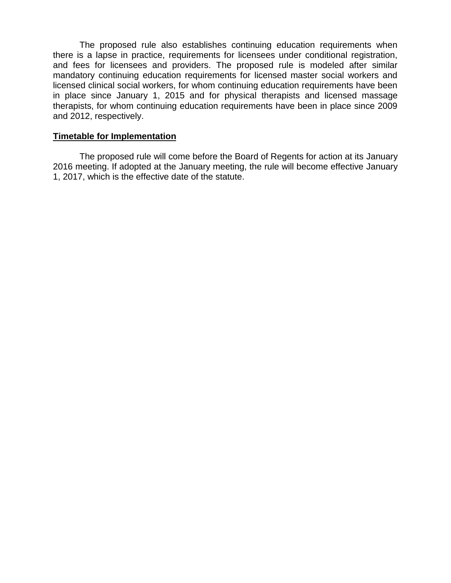The proposed rule also establishes continuing education requirements when there is a lapse in practice, requirements for licensees under conditional registration, and fees for licensees and providers. The proposed rule is modeled after similar mandatory continuing education requirements for licensed master social workers and licensed clinical social workers, for whom continuing education requirements have been in place since January 1, 2015 and for physical therapists and licensed massage therapists, for whom continuing education requirements have been in place since 2009 and 2012, respectively.

#### **Timetable for Implementation**

The proposed rule will come before the Board of Regents for action at its January 2016 meeting. If adopted at the January meeting, the rule will become effective January 1, 2017, which is the effective date of the statute.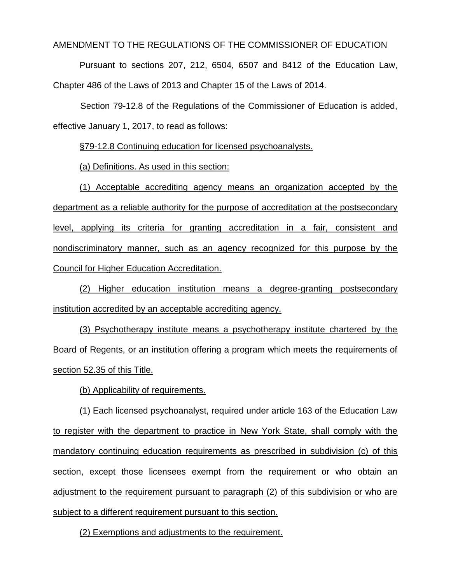AMENDMENT TO THE REGULATIONS OF THE COMMISSIONER OF EDUCATION

Pursuant to sections 207, 212, 6504, 6507 and 8412 of the Education Law, Chapter 486 of the Laws of 2013 and Chapter 15 of the Laws of 2014.

Section 79-12.8 of the Regulations of the Commissioner of Education is added, effective January 1, 2017, to read as follows:

§79-12.8 Continuing education for licensed psychoanalysts.

(a) Definitions. As used in this section:

(1) Acceptable accrediting agency means an organization accepted by the department as a reliable authority for the purpose of accreditation at the postsecondary level, applying its criteria for granting accreditation in a fair, consistent and nondiscriminatory manner, such as an agency recognized for this purpose by the Council for Higher Education Accreditation.

(2) Higher education institution means a degree-granting postsecondary institution accredited by an acceptable accrediting agency.

(3) Psychotherapy institute means a psychotherapy institute chartered by the Board of Regents, or an institution offering a program which meets the requirements of section 52.35 of this Title.

(b) Applicability of requirements.

(1) Each licensed psychoanalyst, required under article 163 of the Education Law to register with the department to practice in New York State, shall comply with the mandatory continuing education requirements as prescribed in subdivision (c) of this section, except those licensees exempt from the requirement or who obtain an adjustment to the requirement pursuant to paragraph (2) of this subdivision or who are subject to a different requirement pursuant to this section.

(2) Exemptions and adjustments to the requirement.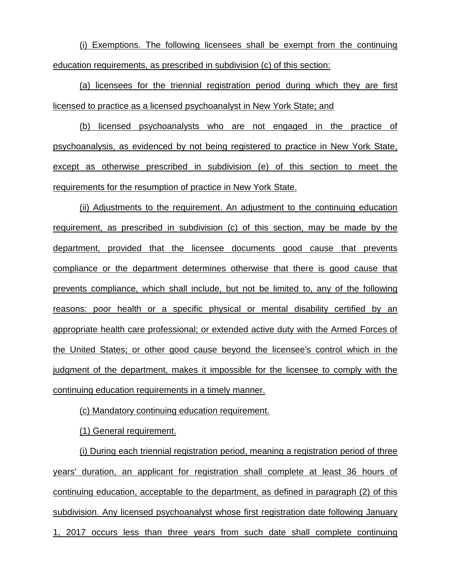(i) Exemptions. The following licensees shall be exempt from the continuing education requirements, as prescribed in subdivision (c) of this section:

(a) licensees for the triennial registration period during which they are first licensed to practice as a licensed psychoanalyst in New York State; and

(b) licensed psychoanalysts who are not engaged in the practice of psychoanalysis, as evidenced by not being registered to practice in New York State, except as otherwise prescribed in subdivision (e) of this section to meet the requirements for the resumption of practice in New York State.

(ii) Adjustments to the requirement. An adjustment to the continuing education requirement, as prescribed in subdivision (c) of this section, may be made by the department, provided that the licensee documents good cause that prevents compliance or the department determines otherwise that there is good cause that prevents compliance, which shall include, but not be limited to, any of the following reasons: poor health or a specific physical or mental disability certified by an appropriate health care professional; or extended active duty with the Armed Forces of the United States; or other good cause beyond the licensee's control which in the judgment of the department, makes it impossible for the licensee to comply with the continuing education requirements in a timely manner.

(c) Mandatory continuing education requirement.

(1) General requirement.

(i) During each triennial registration period, meaning a registration period of three years' duration, an applicant for registration shall complete at least 36 hours of continuing education, acceptable to the department, as defined in paragraph (2) of this subdivision. Any licensed psychoanalyst whose first registration date following January 1, 2017 occurs less than three years from such date shall complete continuing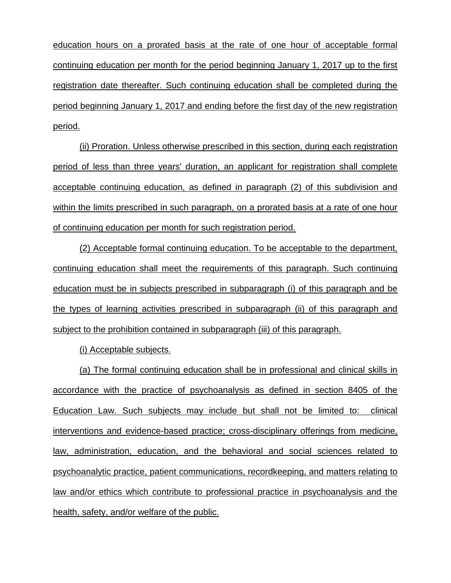education hours on a prorated basis at the rate of one hour of acceptable formal continuing education per month for the period beginning January 1, 2017 up to the first registration date thereafter. Such continuing education shall be completed during the period beginning January 1, 2017 and ending before the first day of the new registration period.

(ii) Proration. Unless otherwise prescribed in this section, during each registration period of less than three years' duration, an applicant for registration shall complete acceptable continuing education, as defined in paragraph (2) of this subdivision and within the limits prescribed in such paragraph, on a prorated basis at a rate of one hour of continuing education per month for such registration period.

(2) Acceptable formal continuing education. To be acceptable to the department, continuing education shall meet the requirements of this paragraph. Such continuing education must be in subjects prescribed in subparagraph (i) of this paragraph and be the types of learning activities prescribed in subparagraph (ii) of this paragraph and subject to the prohibition contained in subparagraph (iii) of this paragraph.

(i) Acceptable subjects.

(a) The formal continuing education shall be in professional and clinical skills in accordance with the practice of psychoanalysis as defined in section 8405 of the Education Law. Such subjects may include but shall not be limited to: clinical interventions and evidence-based practice; cross-disciplinary offerings from medicine, law, administration, education, and the behavioral and social sciences related to psychoanalytic practice, patient communications, recordkeeping, and matters relating to law and/or ethics which contribute to professional practice in psychoanalysis and the health, safety, and/or welfare of the public.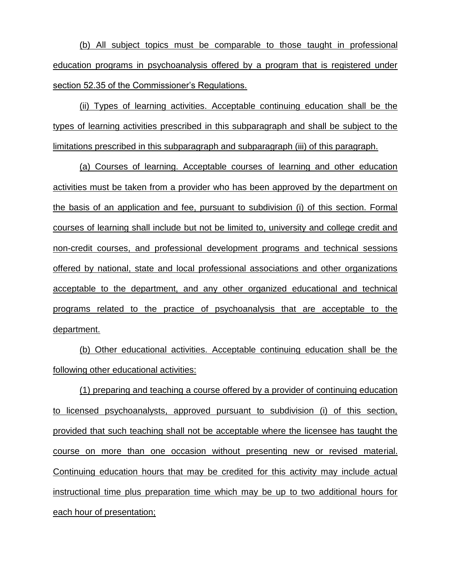(b) All subject topics must be comparable to those taught in professional education programs in psychoanalysis offered by a program that is registered under section 52.35 of the Commissioner's Regulations.

(ii) Types of learning activities. Acceptable continuing education shall be the types of learning activities prescribed in this subparagraph and shall be subject to the limitations prescribed in this subparagraph and subparagraph (iii) of this paragraph.

(a) Courses of learning. Acceptable courses of learning and other education activities must be taken from a provider who has been approved by the department on the basis of an application and fee, pursuant to subdivision (i) of this section. Formal courses of learning shall include but not be limited to, university and college credit and non-credit courses, and professional development programs and technical sessions offered by national, state and local professional associations and other organizations acceptable to the department, and any other organized educational and technical programs related to the practice of psychoanalysis that are acceptable to the department.

(b) Other educational activities. Acceptable continuing education shall be the following other educational activities:

(1) preparing and teaching a course offered by a provider of continuing education to licensed psychoanalysts, approved pursuant to subdivision (i) of this section, provided that such teaching shall not be acceptable where the licensee has taught the course on more than one occasion without presenting new or revised material. Continuing education hours that may be credited for this activity may include actual instructional time plus preparation time which may be up to two additional hours for each hour of presentation;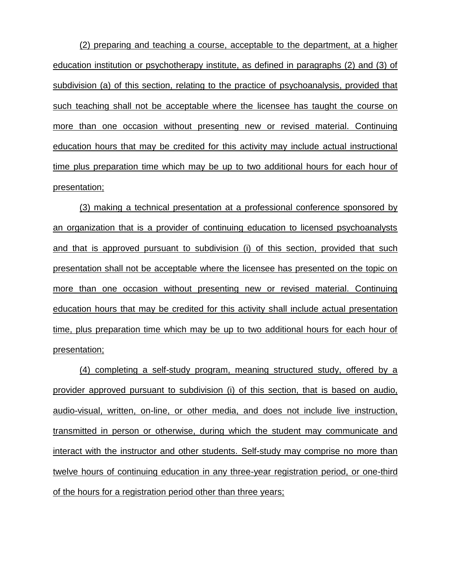(2) preparing and teaching a course, acceptable to the department, at a higher education institution or psychotherapy institute, as defined in paragraphs (2) and (3) of subdivision (a) of this section, relating to the practice of psychoanalysis, provided that such teaching shall not be acceptable where the licensee has taught the course on more than one occasion without presenting new or revised material. Continuing education hours that may be credited for this activity may include actual instructional time plus preparation time which may be up to two additional hours for each hour of presentation;

(3) making a technical presentation at a professional conference sponsored by an organization that is a provider of continuing education to licensed psychoanalysts and that is approved pursuant to subdivision (i) of this section, provided that such presentation shall not be acceptable where the licensee has presented on the topic on more than one occasion without presenting new or revised material. Continuing education hours that may be credited for this activity shall include actual presentation time, plus preparation time which may be up to two additional hours for each hour of presentation;

(4) completing a self-study program, meaning structured study, offered by a provider approved pursuant to subdivision (i) of this section, that is based on audio, audio-visual, written, on-line, or other media, and does not include live instruction, transmitted in person or otherwise, during which the student may communicate and interact with the instructor and other students. Self-study may comprise no more than twelve hours of continuing education in any three-year registration period, or one-third of the hours for a registration period other than three years;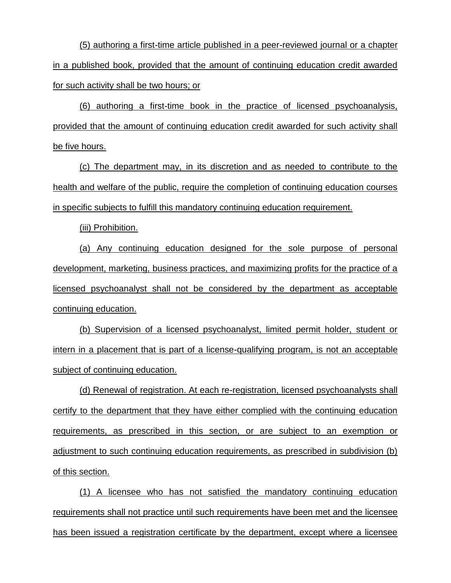(5) authoring a first-time article published in a peer-reviewed journal or a chapter in a published book, provided that the amount of continuing education credit awarded for such activity shall be two hours; or

(6) authoring a first-time book in the practice of licensed psychoanalysis, provided that the amount of continuing education credit awarded for such activity shall be five hours.

(c) The department may, in its discretion and as needed to contribute to the health and welfare of the public, require the completion of continuing education courses in specific subjects to fulfill this mandatory continuing education requirement.

(iii) Prohibition.

(a) Any continuing education designed for the sole purpose of personal development, marketing, business practices, and maximizing profits for the practice of a licensed psychoanalyst shall not be considered by the department as acceptable continuing education.

(b) Supervision of a licensed psychoanalyst, limited permit holder, student or intern in a placement that is part of a license-qualifying program, is not an acceptable subject of continuing education.

(d) Renewal of registration. At each re-registration, licensed psychoanalysts shall certify to the department that they have either complied with the continuing education requirements, as prescribed in this section, or are subject to an exemption or adjustment to such continuing education requirements, as prescribed in subdivision (b) of this section.

(1) A licensee who has not satisfied the mandatory continuing education requirements shall not practice until such requirements have been met and the licensee has been issued a registration certificate by the department, except where a licensee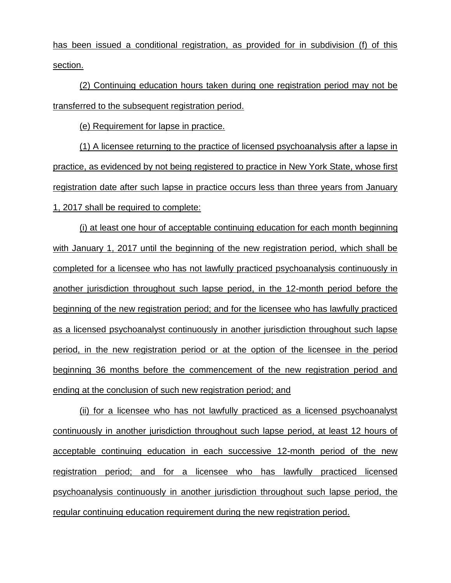has been issued a conditional registration, as provided for in subdivision (f) of this section.

(2) Continuing education hours taken during one registration period may not be transferred to the subsequent registration period.

(e) Requirement for lapse in practice.

(1) A licensee returning to the practice of licensed psychoanalysis after a lapse in practice, as evidenced by not being registered to practice in New York State, whose first registration date after such lapse in practice occurs less than three years from January 1, 2017 shall be required to complete:

(i) at least one hour of acceptable continuing education for each month beginning with January 1, 2017 until the beginning of the new registration period, which shall be completed for a licensee who has not lawfully practiced psychoanalysis continuously in another jurisdiction throughout such lapse period, in the 12-month period before the beginning of the new registration period; and for the licensee who has lawfully practiced as a licensed psychoanalyst continuously in another jurisdiction throughout such lapse period, in the new registration period or at the option of the licensee in the period beginning 36 months before the commencement of the new registration period and ending at the conclusion of such new registration period; and

(ii) for a licensee who has not lawfully practiced as a licensed psychoanalyst continuously in another jurisdiction throughout such lapse period, at least 12 hours of acceptable continuing education in each successive 12-month period of the new registration period; and for a licensee who has lawfully practiced licensed psychoanalysis continuously in another jurisdiction throughout such lapse period, the regular continuing education requirement during the new registration period.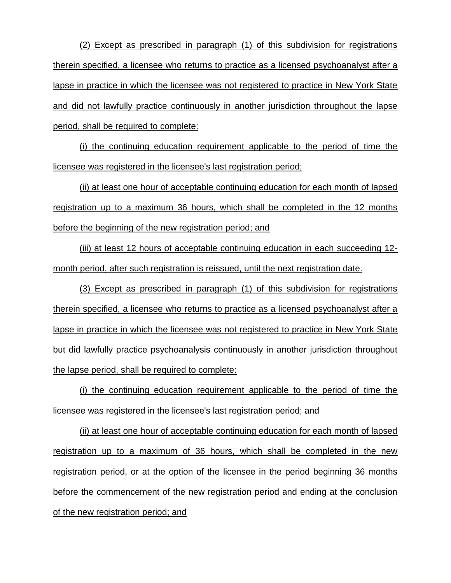(2) Except as prescribed in paragraph (1) of this subdivision for registrations therein specified, a licensee who returns to practice as a licensed psychoanalyst after a lapse in practice in which the licensee was not registered to practice in New York State and did not lawfully practice continuously in another jurisdiction throughout the lapse period, shall be required to complete:

(i) the continuing education requirement applicable to the period of time the licensee was registered in the licensee's last registration period;

(ii) at least one hour of acceptable continuing education for each month of lapsed registration up to a maximum 36 hours, which shall be completed in the 12 months before the beginning of the new registration period; and

(iii) at least 12 hours of acceptable continuing education in each succeeding 12 month period, after such registration is reissued, until the next registration date.

(3) Except as prescribed in paragraph (1) of this subdivision for registrations therein specified, a licensee who returns to practice as a licensed psychoanalyst after a lapse in practice in which the licensee was not registered to practice in New York State but did lawfully practice psychoanalysis continuously in another jurisdiction throughout the lapse period, shall be required to complete:

(i) the continuing education requirement applicable to the period of time the licensee was registered in the licensee's last registration period; and

(ii) at least one hour of acceptable continuing education for each month of lapsed registration up to a maximum of 36 hours, which shall be completed in the new registration period, or at the option of the licensee in the period beginning 36 months before the commencement of the new registration period and ending at the conclusion of the new registration period; and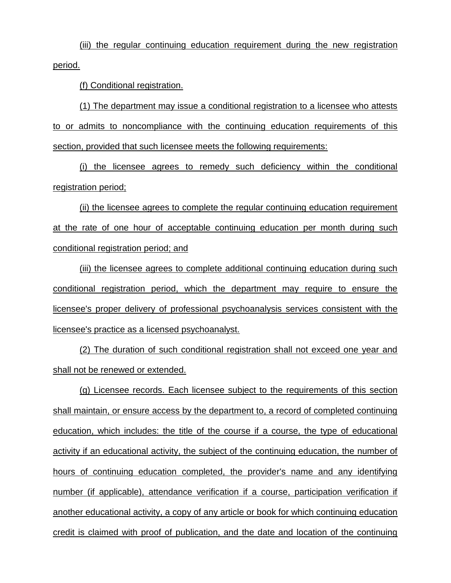(iii) the regular continuing education requirement during the new registration period.

(f) Conditional registration.

(1) The department may issue a conditional registration to a licensee who attests to or admits to noncompliance with the continuing education requirements of this section, provided that such licensee meets the following requirements:

(i) the licensee agrees to remedy such deficiency within the conditional registration period;

(ii) the licensee agrees to complete the regular continuing education requirement at the rate of one hour of acceptable continuing education per month during such conditional registration period; and

(iii) the licensee agrees to complete additional continuing education during such conditional registration period, which the department may require to ensure the licensee's proper delivery of professional psychoanalysis services consistent with the licensee's practice as a licensed psychoanalyst.

(2) The duration of such conditional registration shall not exceed one year and shall not be renewed or extended.

(g) Licensee records. Each licensee subject to the requirements of this section shall maintain, or ensure access by the department to, a record of completed continuing education, which includes: the title of the course if a course, the type of educational activity if an educational activity, the subject of the continuing education, the number of hours of continuing education completed, the provider's name and any identifying number (if applicable), attendance verification if a course, participation verification if another educational activity, a copy of any article or book for which continuing education credit is claimed with proof of publication, and the date and location of the continuing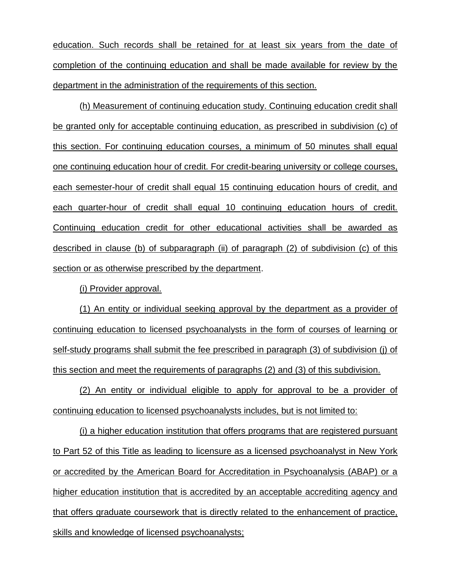education. Such records shall be retained for at least six years from the date of completion of the continuing education and shall be made available for review by the department in the administration of the requirements of this section.

(h) Measurement of continuing education study. Continuing education credit shall be granted only for acceptable continuing education, as prescribed in subdivision (c) of this section. For continuing education courses, a minimum of 50 minutes shall equal one continuing education hour of credit. For credit-bearing university or college courses, each semester-hour of credit shall equal 15 continuing education hours of credit, and each quarter-hour of credit shall equal 10 continuing education hours of credit. Continuing education credit for other educational activities shall be awarded as described in clause (b) of subparagraph (ii) of paragraph (2) of subdivision (c) of this section or as otherwise prescribed by the department.

(i) Provider approval.

(1) An entity or individual seeking approval by the department as a provider of continuing education to licensed psychoanalysts in the form of courses of learning or self-study programs shall submit the fee prescribed in paragraph (3) of subdivision (j) of this section and meet the requirements of paragraphs (2) and (3) of this subdivision.

(2) An entity or individual eligible to apply for approval to be a provider of continuing education to licensed psychoanalysts includes, but is not limited to:

(i) a higher education institution that offers programs that are registered pursuant to Part 52 of this Title as leading to licensure as a licensed psychoanalyst in New York or accredited by the American Board for Accreditation in Psychoanalysis (ABAP) or a higher education institution that is accredited by an acceptable accrediting agency and that offers graduate coursework that is directly related to the enhancement of practice, skills and knowledge of licensed psychoanalysts;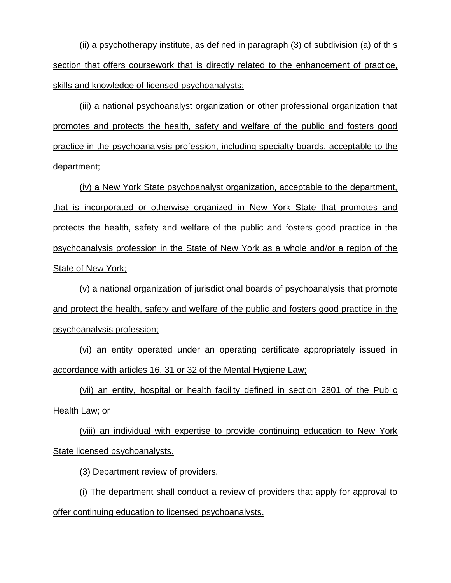(ii) a psychotherapy institute, as defined in paragraph (3) of subdivision (a) of this section that offers coursework that is directly related to the enhancement of practice, skills and knowledge of licensed psychoanalysts;

(iii) a national psychoanalyst organization or other professional organization that promotes and protects the health, safety and welfare of the public and fosters good practice in the psychoanalysis profession, including specialty boards, acceptable to the department;

(iv) a New York State psychoanalyst organization, acceptable to the department, that is incorporated or otherwise organized in New York State that promotes and protects the health, safety and welfare of the public and fosters good practice in the psychoanalysis profession in the State of New York as a whole and/or a region of the State of New York;

(v) a national organization of jurisdictional boards of psychoanalysis that promote and protect the health, safety and welfare of the public and fosters good practice in the psychoanalysis profession;

(vi) an entity operated under an operating certificate appropriately issued in accordance with articles 16, 31 or 32 of the Mental Hygiene Law;

(vii) an entity, hospital or health facility defined in section 2801 of the Public Health Law; or

(viii) an individual with expertise to provide continuing education to New York State licensed psychoanalysts.

(3) Department review of providers.

(i) The department shall conduct a review of providers that apply for approval to offer continuing education to licensed psychoanalysts.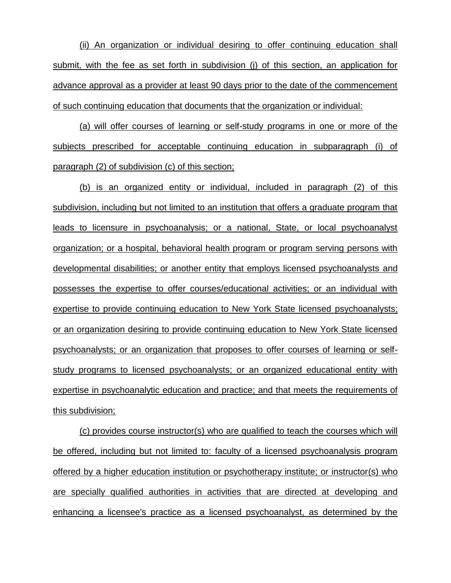(ii) An organization or individual desiring to offer continuing education shall submit, with the fee as set forth in subdivision (j) of this section, an application for advance approval as a provider at least 90 days prior to the date of the commencement of such continuing education that documents that the organization or individual:

(a) will offer courses of learning or self-study programs in one or more of the subjects prescribed for acceptable continuing education in subparagraph (i) of paragraph (2) of subdivision (c) of this section;

(b) is an organized entity or individual, included in paragraph (2) of this subdivision, including but not limited to an institution that offers a graduate program that leads to licensure in psychoanalysis; or a national, State, or local psychoanalyst organization; or a hospital, behavioral health program or program serving persons with developmental disabilities; or another entity that employs licensed psychoanalysts and possesses the expertise to offer courses/educational activities; or an individual with expertise to provide continuing education to New York State licensed psychoanalysts; or an organization desiring to provide continuing education to New York State licensed psychoanalysts; or an organization that proposes to offer courses of learning or selfstudy programs to licensed psychoanalysts; or an organized educational entity with expertise in psychoanalytic education and practice; and that meets the requirements of this subdivision;

(c) provides course instructor(s) who are qualified to teach the courses which will be offered, including but not limited to: faculty of a licensed psychoanalysis program offered by a higher education institution or psychotherapy institute; or instructor(s) who are specially qualified authorities in activities that are directed at developing and enhancing a licensee's practice as a licensed psychoanalyst, as determined by the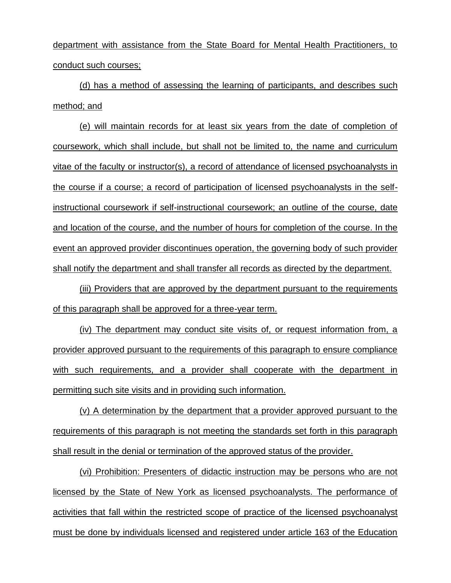department with assistance from the State Board for Mental Health Practitioners, to conduct such courses;

(d) has a method of assessing the learning of participants, and describes such method; and

(e) will maintain records for at least six years from the date of completion of coursework, which shall include, but shall not be limited to, the name and curriculum vitae of the faculty or instructor(s), a record of attendance of licensed psychoanalysts in the course if a course; a record of participation of licensed psychoanalysts in the selfinstructional coursework if self-instructional coursework; an outline of the course, date and location of the course, and the number of hours for completion of the course. In the event an approved provider discontinues operation, the governing body of such provider shall notify the department and shall transfer all records as directed by the department.

(iii) Providers that are approved by the department pursuant to the requirements of this paragraph shall be approved for a three-year term.

(iv) The department may conduct site visits of, or request information from, a provider approved pursuant to the requirements of this paragraph to ensure compliance with such requirements, and a provider shall cooperate with the department in permitting such site visits and in providing such information.

(v) A determination by the department that a provider approved pursuant to the requirements of this paragraph is not meeting the standards set forth in this paragraph shall result in the denial or termination of the approved status of the provider.

(vi) Prohibition: Presenters of didactic instruction may be persons who are not licensed by the State of New York as licensed psychoanalysts. The performance of activities that fall within the restricted scope of practice of the licensed psychoanalyst must be done by individuals licensed and registered under article 163 of the Education